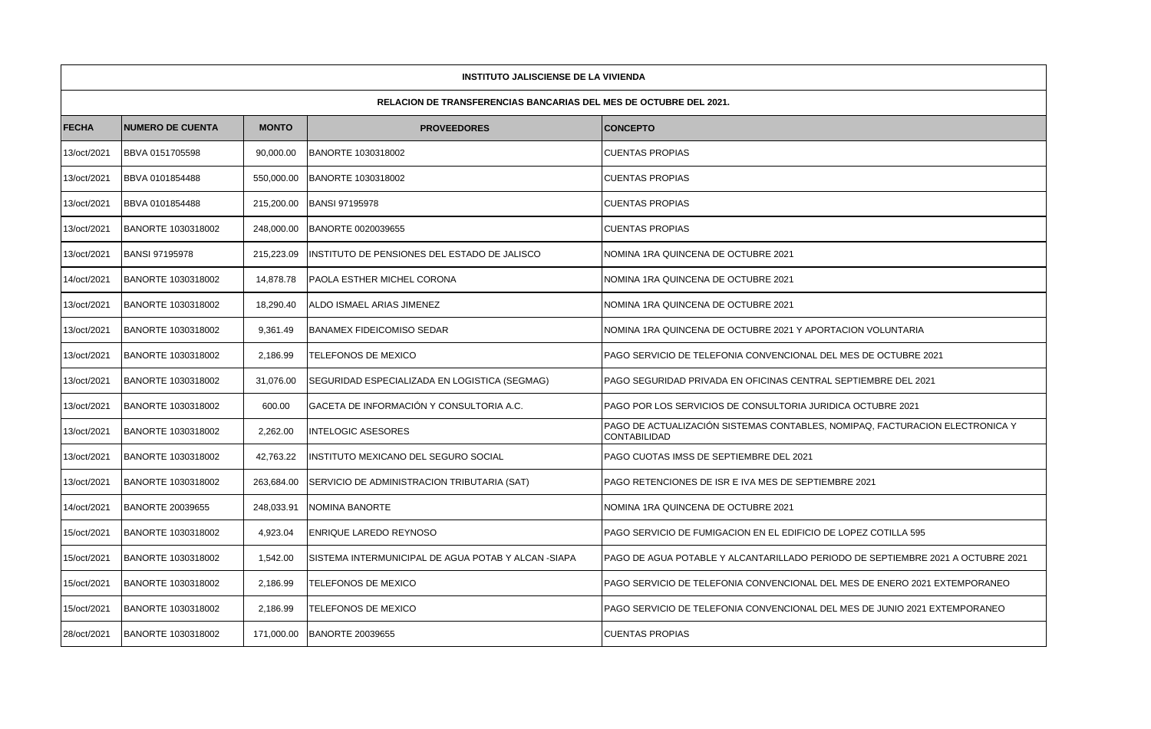| <b>INSTITUTO JALISCIENSE DE LA VIVIENDA</b>                              |                         |              |                                                     |                                                                                                     |  |  |  |  |  |  |
|--------------------------------------------------------------------------|-------------------------|--------------|-----------------------------------------------------|-----------------------------------------------------------------------------------------------------|--|--|--|--|--|--|
| <b>RELACION DE TRANSFERENCIAS BANCARIAS DEL MES DE OCTUBRE DEL 2021.</b> |                         |              |                                                     |                                                                                                     |  |  |  |  |  |  |
| <b>FECHA</b>                                                             | <b>NUMERO DE CUENTA</b> | <b>MONTO</b> | <b>PROVEEDORES</b>                                  | <b>CONCEPTO</b>                                                                                     |  |  |  |  |  |  |
| 13/oct/2021                                                              | BBVA 0151705598         | 90,000.00    | BANORTE 1030318002                                  | <b>CUENTAS PROPIAS</b>                                                                              |  |  |  |  |  |  |
| 13/oct/2021                                                              | BBVA 0101854488         | 550,000.00   | BANORTE 1030318002                                  | <b>CUENTAS PROPIAS</b>                                                                              |  |  |  |  |  |  |
| 13/oct/2021                                                              | BBVA 0101854488         | 215,200.00   | <b>BANSI 97195978</b>                               | <b>CUENTAS PROPIAS</b>                                                                              |  |  |  |  |  |  |
| 13/oct/2021                                                              | BANORTE 1030318002      | 248,000.00   | BANORTE 0020039655                                  | <b>CUENTAS PROPIAS</b>                                                                              |  |  |  |  |  |  |
| 13/oct/2021                                                              | <b>BANSI 97195978</b>   | 215,223.09   | INSTITUTO DE PENSIONES DEL ESTADO DE JALISCO        | NOMINA 1RA QUINCENA DE OCTUBRE 2021                                                                 |  |  |  |  |  |  |
| 14/oct/2021                                                              | BANORTE 1030318002      | 14,878.78    | <b>PAOLA ESTHER MICHEL CORONA</b>                   | NOMINA 1RA QUINCENA DE OCTUBRE 2021                                                                 |  |  |  |  |  |  |
| 13/oct/2021                                                              | BANORTE 1030318002      | 18,290.40    | ALDO ISMAEL ARIAS JIMENEZ                           | NOMINA 1RA QUINCENA DE OCTUBRE 2021                                                                 |  |  |  |  |  |  |
| 13/oct/2021                                                              | BANORTE 1030318002      | 9,361.49     | <b>BANAMEX FIDEICOMISO SEDAR</b>                    | NOMINA 1RA QUINCENA DE OCTUBRE 2021 Y APORTACION VOLUNTARIA                                         |  |  |  |  |  |  |
| 13/oct/2021                                                              | BANORTE 1030318002      | 2,186.99     | TELEFONOS DE MEXICO                                 | PAGO SERVICIO DE TELEFONIA CONVENCIONAL DEL MES DE OCTUBRE 2021                                     |  |  |  |  |  |  |
| 13/oct/2021                                                              | BANORTE 1030318002      | 31,076.00    | SEGURIDAD ESPECIALIZADA EN LOGISTICA (SEGMAG)       | IPAGO SEGURIDAD PRIVADA EN OFICINAS CENTRAL SEPTIEMBRE DEL 2021                                     |  |  |  |  |  |  |
| 13/oct/2021                                                              | BANORTE 1030318002      | 600.00       | GACETA DE INFORMACIÓN Y CONSULTORIA A.C.            | PAGO POR LOS SERVICIOS DE CONSULTORIA JURIDICA OCTUBRE 2021                                         |  |  |  |  |  |  |
| 13/oct/2021                                                              | BANORTE 1030318002      | 2,262.00     | <b>INTELOGIC ASESORES</b>                           | PAGO DE ACTUALIZACIÓN SISTEMAS CONTABLES, NOMIPAQ, FACTURACION ELECTRONICA Y<br><b>CONTABILIDAD</b> |  |  |  |  |  |  |
| 13/oct/2021                                                              | BANORTE 1030318002      | 42,763.22    | INSTITUTO MEXICANO DEL SEGURO SOCIAL                | PAGO CUOTAS IMSS DE SEPTIEMBRE DEL 2021                                                             |  |  |  |  |  |  |
| 13/oct/2021                                                              | BANORTE 1030318002      | 263,684.00   | SERVICIO DE ADMINISTRACION TRIBUTARIA (SAT)         | <b>PAGO RETENCIONES DE ISR E IVA MES DE SEPTIEMBRE 2021</b>                                         |  |  |  |  |  |  |
| 14/oct/2021                                                              | <b>BANORTE 20039655</b> | 248,033.91   | NOMINA BANORTE                                      | NOMINA 1RA QUINCENA DE OCTUBRE 2021                                                                 |  |  |  |  |  |  |
| 15/oct/2021                                                              | BANORTE 1030318002      | 4,923.04     | ENRIQUE LAREDO REYNOSO                              | PAGO SERVICIO DE FUMIGACION EN EL EDIFICIO DE LOPEZ COTILLA 595                                     |  |  |  |  |  |  |
| 15/oct/2021                                                              | BANORTE 1030318002      | 1,542.00     | SISTEMA INTERMUNICIPAL DE AGUA POTAB Y ALCAN -SIAPA | PAGO DE AGUA POTABLE Y ALCANTARILLADO PERIODO DE SEPTIEMBRE 2021 A OCTUBRE 2021                     |  |  |  |  |  |  |
| 15/oct/2021                                                              | BANORTE 1030318002      | 2,186.99     | TELEFONOS DE MEXICO                                 | PAGO SERVICIO DE TELEFONIA CONVENCIONAL DEL MES DE ENERO 2021 EXTEMPORANEO                          |  |  |  |  |  |  |
| 15/oct/2021                                                              | BANORTE 1030318002      | 2,186.99     | TELEFONOS DE MEXICO                                 | PAGO SERVICIO DE TELEFONIA CONVENCIONAL DEL MES DE JUNIO 2021 EXTEMPORANEO                          |  |  |  |  |  |  |
| 28/oct/2021                                                              | BANORTE 1030318002      | 171,000.00   | <b>BANORTE 20039655</b>                             | <b>CUENTAS PROPIAS</b>                                                                              |  |  |  |  |  |  |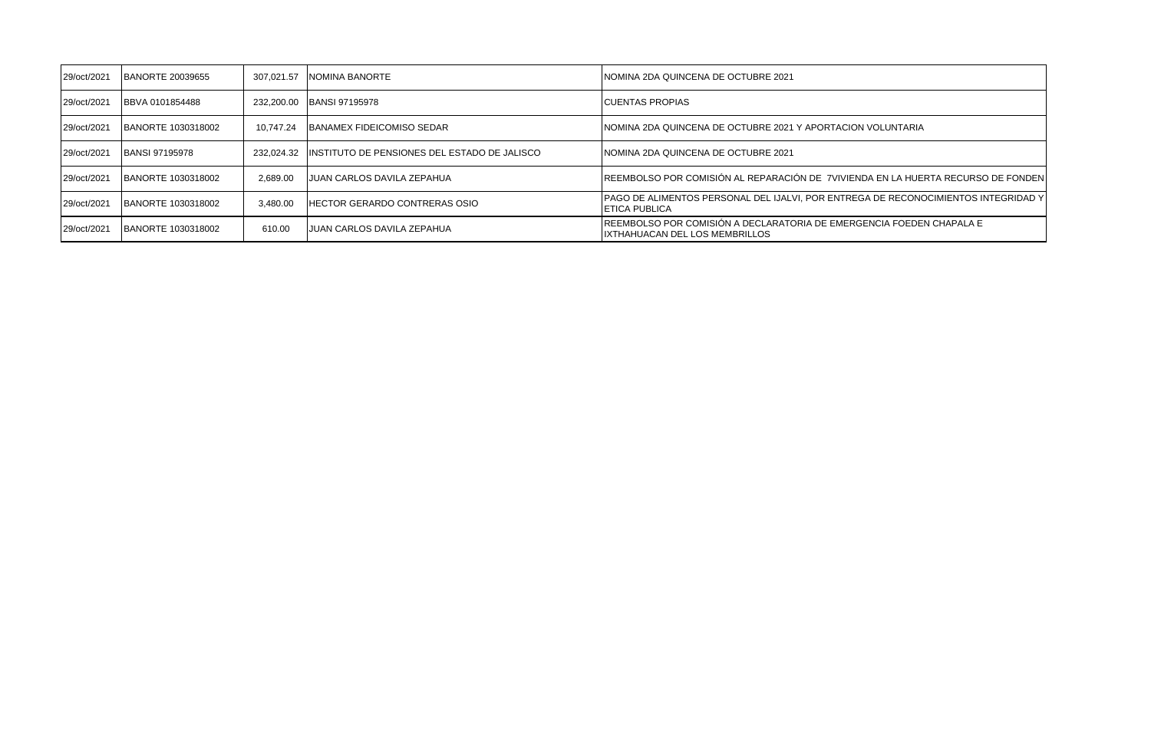| 29/oct/2021 | <b>BANORTE 20039655</b>   | 307.021.57 | NOMINA BANORTE                                 | INOMINA 2DA QUINCENA DE OCTUBRE 2021                                                                         |
|-------------|---------------------------|------------|------------------------------------------------|--------------------------------------------------------------------------------------------------------------|
| 29/oct/2021 | BBVA 0101854488           | 232.200.00 | <b>BANSI 97195978</b>                          | <b>ICUENTAS PROPIAS</b>                                                                                      |
| 29/oct/2021 | BANORTE 1030318002        | 10.747.24  | <b>IBANAMEX FIDEICOMISO SEDAR</b>              | INOMINA 2DA QUINCENA DE OCTUBRE 2021 Y APORTACION VOLUNTARIA                                                 |
| 29/oct/2021 | <b>BANSI 97195978</b>     | 232.024.32 | IINSTITUTO DE PENSIONES DEL ESTADO DE JALISCO. | INOMINA 2DA QUINCENA DE OCTUBRE 2021                                                                         |
| 29/oct/2021 | BANORTE 1030318002        | 2.689.00   | JUAN CARLOS DAVILA ZEPAHUA                     | IREEMBOLSO POR COMISIÓN AL REPARACIÓN DE 7VIVIENDA EN LA HUERTA RECURSO DE FONDEN                            |
| 29/oct/2021 | BANORTE 1030318002        | 3.480.00   | <b>HECTOR GERARDO CONTRERAS OSIO</b>           | [PAGO DE ALIMENTOS PERSONAL DEL IJALVI, POR ENTREGA DE RECONOCIMIENTOS INTEGRIDAD Y<br><b>IETICA PUBLICA</b> |
| 29/oct/2021 | <b>BANORTE 1030318002</b> | 610.00     | JUAN CARLOS DAVILA ZEPAHUA                     | IREEMBOLSO POR COMISIÓN A DECLARATORIA DE EMERGENCIA FOEDEN CHAPALA E<br>IIXTHAHUACAN DEL LOS MEMBRILLOS     |